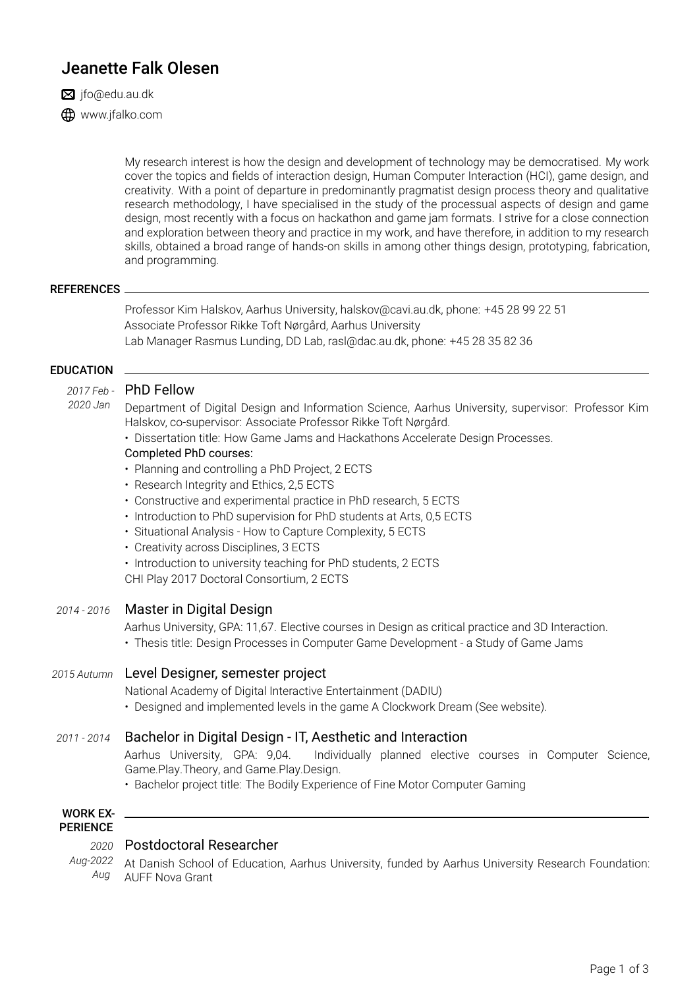# Jeanette Falk Olesen

 $\boxtimes$  jfo@edu.au.dk

**ED** www.jfalko.com

My research interest is how the design and development of technology may be democratised. My work cover the topics and fields of interaction design, Human Computer Interaction (HCI), game design, and creativity. With a point of departure in predominantly pragmatist design process theory and qualitative research methodology, I have specialised in the study of the processual aspects of design and game design, most recently with a focus on hackathon and game jam formats. I strive for a close connection and exploration between theory and practice in my work, and have therefore, in addition to my research skills, obtained a broad range of hands-on skills in among other things design, prototyping, fabrication, and programming.

#### REFERENCES

Professor Kim Halskov, Aarhus University, halskov@cavi.au.dk, phone: +45 28 99 22 51 Associate Professor Rikke Toft Nørgård, Aarhus University Lab Manager Rasmus Lunding, DD Lab, rasl@dac.au.dk, phone: +45 28 35 82 36

#### **FDUCATION**

#### *2017 Feb -* PhD Fellow *2020 Jan*

Department of Digital Design and Information Science, Aarhus University, supervisor: Professor Kim Halskov, co-supervisor: Associate Professor Rikke Toft Nørgård.

• Dissertation title: How Game Jams and Hackathons Accelerate Design Processes.

#### Completed PhD courses:

- Planning and controlling a PhD Project, 2 ECTS
- Research Integrity and Ethics, 2,5 ECTS
- Constructive and experimental practice in PhD research, 5 ECTS
- Introduction to PhD supervision for PhD students at Arts, 0,5 ECTS
- Situational Analysis How to Capture Complexity, 5 ECTS
- Creativity across Disciplines, 3 ECTS
- Introduction to university teaching for PhD students, 2 ECTS

CHI Play 2017 Doctoral Consortium, 2 ECTS

## *2014 - 2016* Master in Digital Design

Aarhus University, GPA: 11,67. Elective courses in Design as critical practice and 3D Interaction.

• Thesis title: Design Processes in Computer Game Development - a Study of Game Jams

## *2015 Autumn* Level Designer, semester project

National Academy of Digital Interactive Entertainment (DADIU)

• Designed and implemented levels in the game A Clockwork Dream (See website).

# *2011 - 2014* Bachelor in Digital Design - IT, Aesthetic and Interaction

Aarhus University, GPA: 9,04. Individually planned elective courses in Computer Science, Game.Play.Theory, and Game.Play.Design.

• Bachelor project title: The Bodily Experience of Fine Motor Computer Gaming

#### WORK EX-PERIENCE

# *2020* Postdoctoral Researcher

*Aug-2022* At Danish School of Education, Aarhus University, funded by Aarhus University Research Foundation: *Aug* AUFF Nova Grant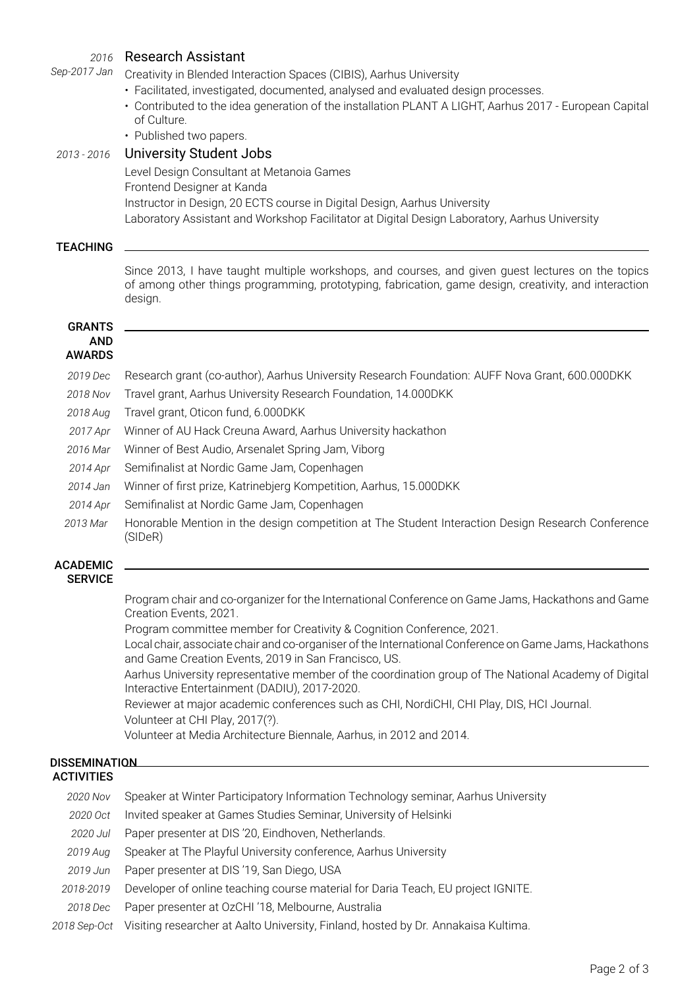| 2016                        | <b>Research Assistant</b>                                                                                                                                                                                  |
|-----------------------------|------------------------------------------------------------------------------------------------------------------------------------------------------------------------------------------------------------|
| Sep-2017 Jan                | Creativity in Blended Interaction Spaces (CIBIS), Aarhus University                                                                                                                                        |
|                             | · Facilitated, investigated, documented, analysed and evaluated design processes.                                                                                                                          |
|                             | • Contributed to the idea generation of the installation PLANT A LIGHT, Aarhus 2017 - European Capital                                                                                                     |
|                             | of Culture.                                                                                                                                                                                                |
|                             | • Published two papers.                                                                                                                                                                                    |
| 2013 - 2016                 | <b>University Student Jobs</b>                                                                                                                                                                             |
|                             | Level Design Consultant at Metanoia Games                                                                                                                                                                  |
|                             | Frontend Designer at Kanda                                                                                                                                                                                 |
|                             | Instructor in Design, 20 ECTS course in Digital Design, Aarhus University                                                                                                                                  |
|                             | Laboratory Assistant and Workshop Facilitator at Digital Design Laboratory, Aarhus University                                                                                                              |
| <b>TEACHING</b>             |                                                                                                                                                                                                            |
|                             |                                                                                                                                                                                                            |
|                             | Since 2013, I have taught multiple workshops, and courses, and given guest lectures on the topics<br>of among other things programming, prototyping, fabrication, game design, creativity, and interaction |
|                             | design.                                                                                                                                                                                                    |
|                             |                                                                                                                                                                                                            |
| <b>GRANTS</b><br><b>AND</b> |                                                                                                                                                                                                            |
| <b>AWARDS</b>               |                                                                                                                                                                                                            |
| 2019 Dec                    | Research grant (co-author), Aarhus University Research Foundation: AUFF Nova Grant, 600.000DKK                                                                                                             |
| 2018 Nov                    | Travel grant, Aarhus University Research Foundation, 14.000DKK                                                                                                                                             |
| 2018 Aug                    | Travel grant, Oticon fund, 6.000DKK                                                                                                                                                                        |
| 2017 Apr                    | Winner of AU Hack Creuna Award, Aarhus University hackathon                                                                                                                                                |
| 2016 Mar                    | Winner of Best Audio, Arsenalet Spring Jam, Viborg                                                                                                                                                         |
| 2014 Apr                    | Semifinalist at Nordic Game Jam, Copenhagen                                                                                                                                                                |
| 2014 Jan                    | Winner of first prize, Katrinebjerg Kompetition, Aarhus, 15.000DKK                                                                                                                                         |
|                             |                                                                                                                                                                                                            |
| 2014 Apr                    | Semifinalist at Nordic Game Jam, Copenhagen                                                                                                                                                                |
| 2013 Mar                    | Honorable Mention in the design competition at The Student Interaction Design Research Conference<br>(SIDeR)                                                                                               |
| <b>ACADEMIC</b>             |                                                                                                                                                                                                            |
| <b>SERVICE</b>              |                                                                                                                                                                                                            |
|                             | Program chair and co-organizer for the International Conference on Game Jams, Hackathons and Game                                                                                                          |
|                             | Creation Events, 2021.                                                                                                                                                                                     |
|                             | Program committee member for Creativity & Cognition Conference, 2021.                                                                                                                                      |
|                             | Local chair, associate chair and co-organiser of the International Conference on Game Jams, Hackathons                                                                                                     |

and Game Creation Events, 2019 in San Francisco, US. Aarhus University representative member of the coordination group of The National Academy of Digital Interactive Entertainment (DADIU), 2017-2020.

Reviewer at major academic conferences such as CHI, NordiCHI, CHI Play, DIS, HCI Journal.

Volunteer at CHI Play, 2017(?).

Volunteer at Media Architecture Biennale, Aarhus, in 2012 and 2014.

## **DISSEMINATION ACTIVITIES**

| 2020 Nov  | Speaker at Winter Participatory Information Technology seminar, Aarhus University |
|-----------|-----------------------------------------------------------------------------------|
| 2020 Oct  | Invited speaker at Games Studies Seminar, University of Helsinki                  |
| 2020 Jul  | Paper presenter at DIS '20, Eindhoven, Netherlands.                               |
| 2019 Aug  | Speaker at The Playful University conference, Aarhus University                   |
| 2019 Jun  | Paper presenter at DIS '19, San Diego, USA                                        |
| 2018-2019 | Developer of online teaching course material for Daria Teach, EU project IGNITE.  |
| 2018 Dec  | Paper presenter at OzCHI '18, Melbourne, Australia                                |
|           |                                                                                   |

*2018 Sep-Oct* Visiting researcher at Aalto University, Finland, hosted by Dr. Annakaisa Kultima.